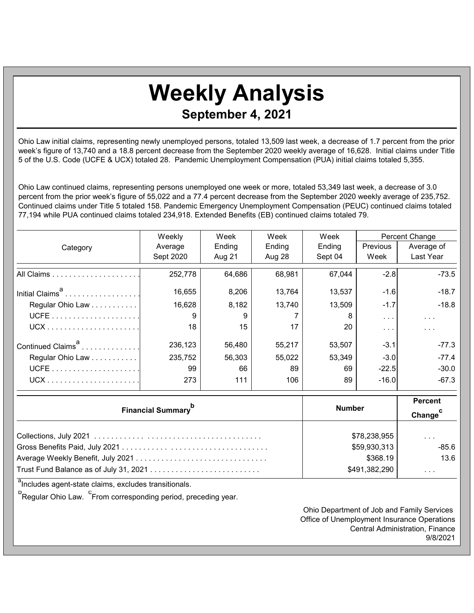## **Weekly Analysis September 4, 2021**

Ohio Law initial claims, representing newly unemployed persons, totaled 13,509 last week, a decrease of 1.7 percent from the prior week's figure of 13,740 and a 18.8 percent decrease from the September 2020 weekly average of 16,628. Initial claims under Title 5 of the U.S. Code (UCFE & UCX) totaled 28. Pandemic Unemployment Compensation (PUA) initial claims totaled 5,355.

Ohio Law continued claims, representing persons unemployed one week or more, totaled 53,349 last week, a decrease of 3.0 percent from the prior week's figure of 55,022 and a 77.4 percent decrease from the September 2020 weekly average of 235,752. Continued claims under Title 5 totaled 158. Pandemic Emergency Unemployment Compensation (PEUC) continued claims totaled 77,194 while PUA continued claims totaled 234,918. Extended Benefits (EB) continued claims totaled 79.

|                               | Weekly    | Week   | Week   | Week    | Percent Change       |               |
|-------------------------------|-----------|--------|--------|---------|----------------------|---------------|
| Category                      | Average   | Ending | Ending | Ending  | <b>Previous</b>      | Average of    |
|                               | Sept 2020 | Aug 21 | Aug 28 | Sept 04 | Week                 | Last Year     |
|                               | 252,778   | 64,686 | 68,981 | 67,044  | $-2.8$               | $-73.5$       |
| Initial Claims <sup>a</sup>   | 16,655    | 8,206  | 13,764 | 13,537  | $-1.6$               | $-18.7$       |
| Regular Ohio Law              | 16,628    | 8,182  | 13,740 | 13,509  | $-1.7$               | $-18.8$       |
|                               | 9         | 9      |        | 8       | $\sim$ $\sim$ $\sim$ | $\sim$ $\sim$ |
|                               | 18        | 15     | 17     | 20      | $\cdots$             | $\cdots$      |
| Continued Claims <sup>a</sup> | 236,123   | 56,480 | 55,217 | 53,507  | $-3.1$               | $-77.3$       |
| Regular Ohio Law              | 235,752   | 56,303 | 55,022 | 53,349  | $-3.0$               | $-77.4$       |
|                               | 99        | 66     | 89     | 69      | $-22.5$              | $-30.0$       |
|                               | 273       | 111    | 106    | 89      | $-16.0$              | $-67.3$       |

| <b>Financial Summary</b> <sup>p</sup> | <b>Number</b> | <b>Percent</b><br>Change |
|---------------------------------------|---------------|--------------------------|
|                                       | \$78,238,955  | $\cdot$ $\cdot$ $\cdot$  |
|                                       | \$59,930,313  | $-85.6$                  |
|                                       | \$368.19      | 13.6                     |
|                                       | \$491,382,290 | $\cdot$ $\cdot$ $\cdot$  |

<sup>a</sup>Includes agent-state claims, excludes transitionals.

<sup>b</sup> Regular Ohio Law. <sup>c</sup> From corresponding period, preceding year.

Ohio Department of Job and Family Services Office of Unemployment Insurance Operations Central Administration, Finance 9/8/2021